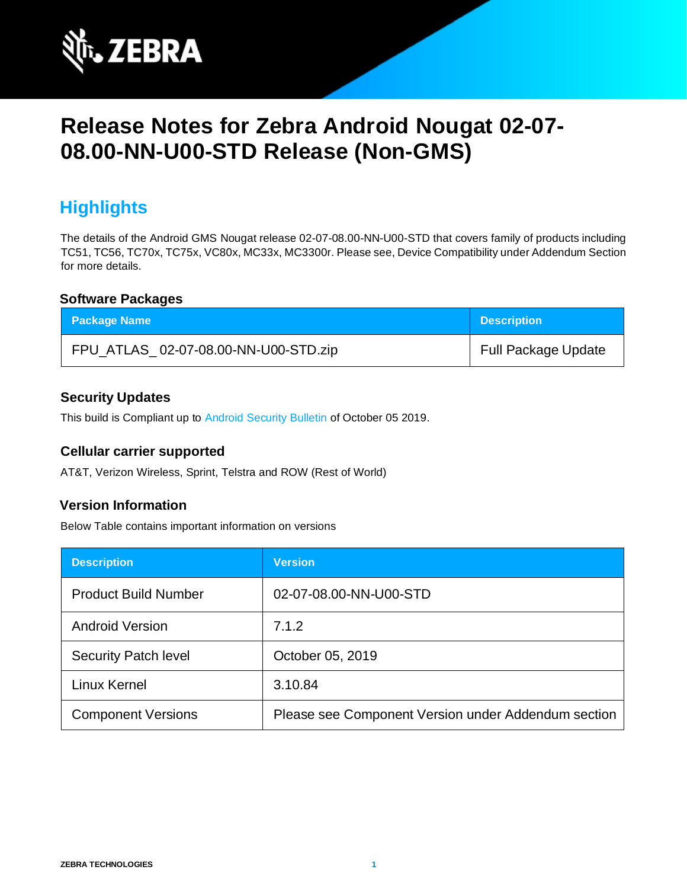

# **Release Notes for Zebra Android Nougat 02-07- 08.00-NN-U00-STD Release (Non-GMS)**

# **Highlights**

The details of the Android GMS Nougat release 02-07-08.00-NN-U00-STD that covers family of products including TC51, TC56, TC70x, TC75x, VC80x, MC33x, MC3300r. Please see, Device Compatibility under Addendum Section for more details.

#### **Software Packages**

| <b>Package Name</b>                  | <b>Description</b>         |
|--------------------------------------|----------------------------|
| FPU_ATLAS_02-07-08.00-NN-U00-STD.zip | <b>Full Package Update</b> |

#### **Security Updates**

This build is Compliant up to [Android Security Bulletin](https://source.android.com/security/bulletin/) of October 05 2019.

#### **Cellular carrier supported**

AT&T, Verizon Wireless, Sprint, Telstra and ROW (Rest of World)

#### **Version Information**

Below Table contains important information on versions

| <b>Description</b>          | <b>Version</b>                                      |
|-----------------------------|-----------------------------------------------------|
| <b>Product Build Number</b> | 02-07-08.00-NN-U00-STD                              |
| <b>Android Version</b>      | 7.1.2                                               |
| <b>Security Patch level</b> | October 05, 2019                                    |
| Linux Kernel                | 3.10.84                                             |
| <b>Component Versions</b>   | Please see Component Version under Addendum section |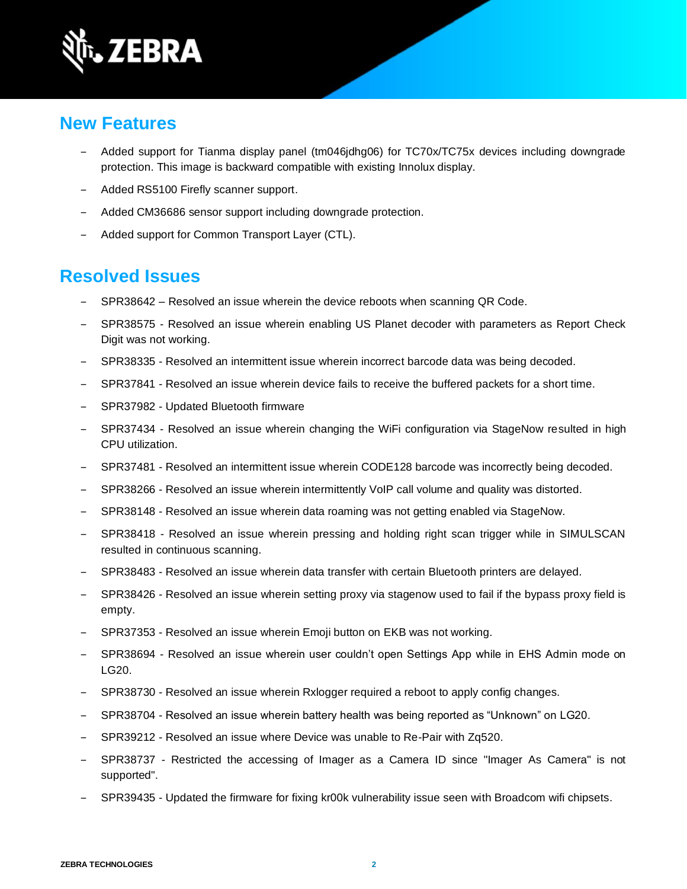

### **New Features**

- ‒ Added support for Tianma display panel (tm046jdhg06) for TC70x/TC75x devices including downgrade protection. This image is backward compatible with existing Innolux display.
- ‒ Added RS5100 Firefly scanner support.
- Added CM36686 sensor support including downgrade protection.
- Added support for Common Transport Layer (CTL).

### **Resolved Issues**

- SPR38642 Resolved an issue wherein the device reboots when scanning QR Code.
- SPR38575 Resolved an issue wherein enabling US Planet decoder with parameters as Report Check Digit was not working.
- ‒ SPR38335 Resolved an intermittent issue wherein incorrect barcode data was being decoded.
- SPR37841 Resolved an issue wherein device fails to receive the buffered packets for a short time.
- ‒ SPR37982 Updated Bluetooth firmware
- SPR37434 Resolved an issue wherein changing the WiFi configuration via StageNow resulted in high CPU utilization.
- SPR37481 Resolved an intermittent issue wherein CODE128 barcode was incorrectly being decoded.
- SPR38266 Resolved an issue wherein intermittently VoIP call volume and quality was distorted.
- ‒ SPR38148 Resolved an issue wherein data roaming was not getting enabled via StageNow.
- SPR38418 Resolved an issue wherein pressing and holding right scan trigger while in SIMULSCAN resulted in continuous scanning.
- ‒ SPR38483 Resolved an issue wherein data transfer with certain Bluetooth printers are delayed.
- SPR38426 Resolved an issue wherein setting proxy via stagenow used to fail if the bypass proxy field is empty.
- ‒ SPR37353 Resolved an issue wherein Emoji button on EKB was not working.
- SPR38694 Resolved an issue wherein user couldn't open Settings App while in EHS Admin mode on LG20.
- ‒ SPR38730 Resolved an issue wherein Rxlogger required a reboot to apply config changes.
- ‒ SPR38704 Resolved an issue wherein battery health was being reported as "Unknown" on LG20.
- ‒ SPR39212 Resolved an issue where Device was unable to Re-Pair with Zq520.
- SPR38737 Restricted the accessing of Imager as a Camera ID since "Imager As Camera" is not supported".
- SPR39435 Updated the firmware for fixing kr00k vulnerability issue seen with Broadcom wifi chipsets.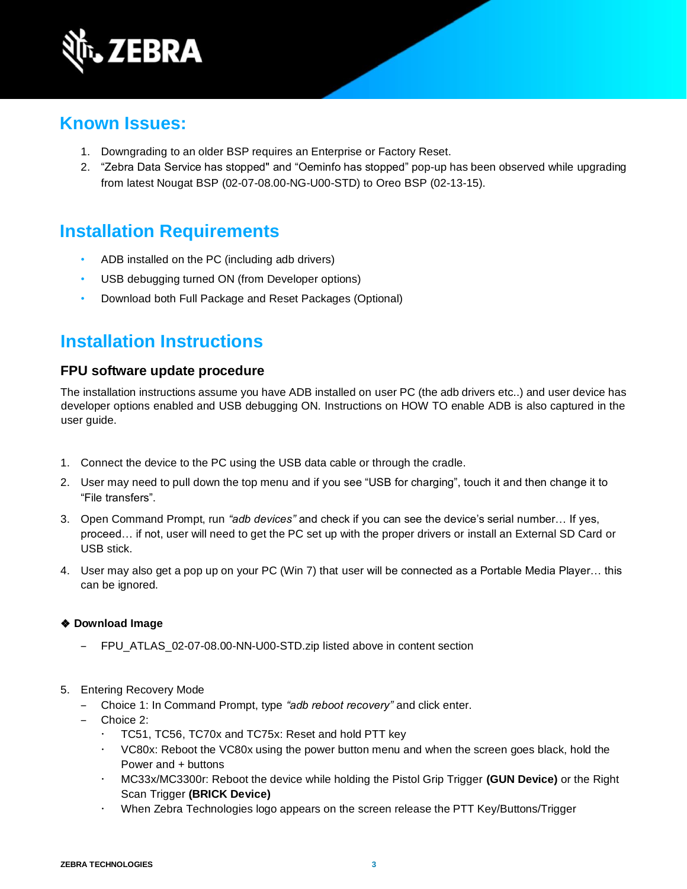

### **Known Issues:**

- 1. Downgrading to an older BSP requires an Enterprise or Factory Reset.
- 2. "Zebra Data Service has stopped" and "Oeminfo has stopped" pop-up has been observed while upgrading from latest Nougat BSP (02-07-08.00-NG-U00-STD) to Oreo BSP (02-13-15).

## **Installation Requirements**

- ADB installed on the PC (including adb drivers)
- USB debugging turned ON (from Developer options)
- Download both Full Package and Reset Packages (Optional)

## **Installation Instructions**

#### **FPU software update procedure**

The installation instructions assume you have ADB installed on user PC (the adb drivers etc..) and user device has developer options enabled and USB debugging ON. Instructions on HOW TO enable ADB is also captured in the user guide.

- 1. Connect the device to the PC using the USB data cable or through the cradle.
- 2. User may need to pull down the top menu and if you see "USB for charging", touch it and then change it to "File transfers".
- 3. Open Command Prompt, run *"adb devices"* and check if you can see the device's serial number… If yes, proceed… if not, user will need to get the PC set up with the proper drivers or install an External SD Card or USB stick.
- 4. User may also get a pop up on your PC (Win 7) that user will be connected as a Portable Media Player… this can be ignored.

#### ❖ **Download Image**

- ‒ FPU\_ATLAS\_02-07-08.00-NN-U00-STD.zip listed above in content section
- 5. Entering Recovery Mode
	- ‒ Choice 1: In Command Prompt, type *"adb reboot recovery"* and click enter.
	- ‒ Choice 2:
		- TC51, TC56, TC70x and TC75x: Reset and hold PTT key
		- VC80x: Reboot the VC80x using the power button menu and when the screen goes black, hold the Power and + buttons
		- MC33x/MC3300r: Reboot the device while holding the Pistol Grip Trigger **(GUN Device)** or the Right Scan Trigger **(BRICK Device)**
		- When Zebra Technologies logo appears on the screen release the PTT Key/Buttons/Trigger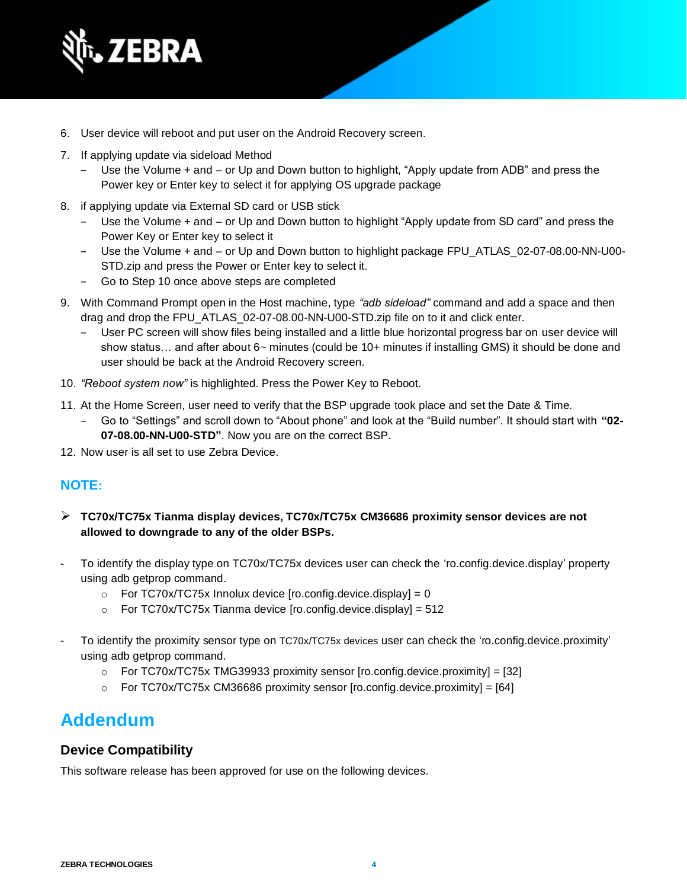

- 6. User device will reboot and put user on the Android Recovery screen.
- 7. If applying update via sideload Method
	- ‒ Use the Volume + and or Up and Down button to highlight, "Apply update from ADB" and press the Power key or Enter key to select it for applying OS upgrade package
- 8. if applying update via External SD card or USB stick
	- ‒ Use the Volume + and or Up and Down button to highlight "Apply update from SD card" and press the Power Key or Enter key to select it
	- ‒ Use the Volume + and or Up and Down button to highlight package FPU\_ATLAS\_02-07-08.00-NN-U00- STD.zip and press the Power or Enter key to select it.
	- ‒ Go to Step 10 once above steps are completed
- 9. With Command Prompt open in the Host machine, type *"adb sideload"* command and add a space and then drag and drop the FPU\_ATLAS\_02-07-08.00-NN-U00-STD.zip file on to it and click enter.
	- ‒ User PC screen will show files being installed and a little blue horizontal progress bar on user device will show status… and after about 6~ minutes (could be 10+ minutes if installing GMS) it should be done and user should be back at the Android Recovery screen.
- 10. *"Reboot system now"* is highlighted. Press the Power Key to Reboot.
- 11. At the Home Screen, user need to verify that the BSP upgrade took place and set the Date & Time.
	- ‒ Go to "Settings" and scroll down to "About phone" and look at the "Build number". It should start with **"02- 07-08.00-NN-U00-STD"**. Now you are on the correct BSP.
- 12. Now user is all set to use Zebra Device.

#### **NOTE:**

- ➢ **TC70x/TC75x Tianma display devices, TC70x/TC75x CM36686 proximity sensor devices are not allowed to downgrade to any of the older BSPs.**
- To identify the display type on TC70x/TC75x devices user can check the 'ro.config.device.display' property using adb getprop command.
	- $\circ$  For TC70x/TC75x Innolux device [ro.config.device.display] = 0
	- $\circ$  For TC70x/TC75x Tianma device [ro.config.device.display] = 512
- To identify the proximity sensor type on TC70x/TC75x devices user can check the 'ro.config.device.proximity' using adb getprop command.
	- $\circ$  For TC70x/TC75x [TMG39933](http://157.235.208.175:8080/source/s?refs=PROX_AMS_TMG39933&project=8956O-PR) proximity sensor [ro.config.device.proximity] = [32]
	- $\circ$  For TC70x/TC75x CM36686 proximity sensor [ro.config.device.proximity] = [64]

## **Addendum**

#### **Device Compatibility**

This software release has been approved for use on the following devices.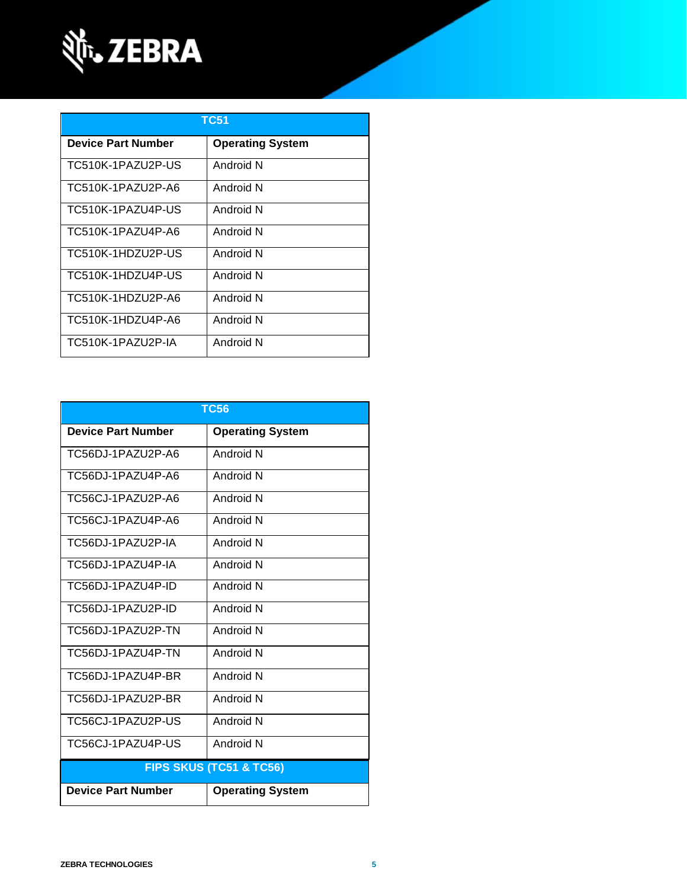

| TC51               |                         |  |
|--------------------|-------------------------|--|
| Device Part Number | <b>Operating System</b> |  |
| TC510K-1PAZU2P-US  | Android N               |  |
| TC510K-1PAZU2P-A6  | Android N               |  |
| TC510K-1PAZU4P-US  | Android N               |  |
| TC510K-1PAZU4P-A6  | Android N               |  |
| TC510K-1HDZU2P-US  | Android N               |  |
| TC510K-1HDZU4P-US  | Android N               |  |
| TC510K-1HDZU2P-A6  | Android N               |  |
| TC510K-1HDZU4P-A6  | Android N               |  |
| TC510K-1PAZU2P-IA  | Android N               |  |

| <b>TC56</b>                        |                         |  |
|------------------------------------|-------------------------|--|
| <b>Device Part Number</b>          | <b>Operating System</b> |  |
| TC56DJ-1PAZU2P-A6                  | Android N               |  |
| TC56DJ-1PAZU4P-A6                  | Android N               |  |
| TC56CJ-1PAZU2P-A6                  | Android N               |  |
| TC56CJ-1PAZU4P-A6                  | Android N               |  |
| TC56DJ-1PAZU2P-IA                  | Android N               |  |
| TC56DJ-1PAZU4P-IA                  | Android N               |  |
| TC56DJ-1PAZU4P-ID                  | Android N               |  |
| TC56DJ-1PAZU2P-ID                  | Android N               |  |
| TC56DJ-1PAZU2P-TN                  | Android N               |  |
| TC56DJ-1PAZU4P-TN                  | Android N               |  |
| TC56DJ-1PAZU4P-BR                  | Android N               |  |
| TC56DJ-1PAZU2P-BR                  | Android N               |  |
| TC56CJ-1PAZU2P-US                  | Android N               |  |
| TC56CJ-1PAZU4P-US                  | Android N               |  |
| <b>FIPS SKUS (TC51 &amp; TC56)</b> |                         |  |
| <b>Device Part Number</b>          | <b>Operating System</b> |  |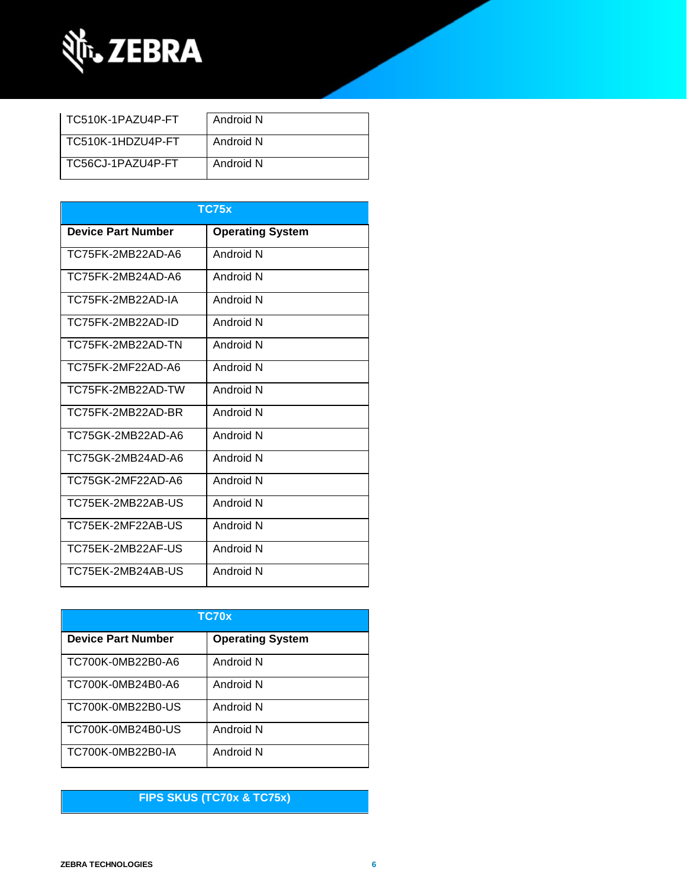

| TC510K-1PAZU4P-FT | Android N |
|-------------------|-----------|
| TC510K-1HDZU4P-FT | Android N |
| TC56CJ-1PAZU4P-FT | Android N |

| <b>TC75x</b>              |                         |  |
|---------------------------|-------------------------|--|
| <b>Device Part Number</b> | <b>Operating System</b> |  |
| TC75FK-2MB22AD-A6         | Android N               |  |
| TC75FK-2MB24AD-A6         | Android N               |  |
| TC75FK-2MB22AD-IA         | Android N               |  |
| TC75FK-2MB22AD-ID         | Android N               |  |
| TC75FK-2MB22AD-TN         | Android N               |  |
| TC75FK-2MF22AD-A6         | Android N               |  |
| TC75FK-2MB22AD-TW         | Android N               |  |
| TC75FK-2MB22AD-BR         | Android N               |  |
| TC75GK-2MB22AD-A6         | Android N               |  |
| TC75GK-2MB24AD-A6         | Android N               |  |
| TC75GK-2MF22AD-A6         | Android N               |  |
| TC75EK-2MB22AB-US         | Android N               |  |
| TC75EK-2MF22AB-US         | Android N               |  |
| TC75EK-2MB22AF-US         | Android N               |  |
| TC75EK-2MB24AB-US         | Android N               |  |

| TC70x                     |                         |  |
|---------------------------|-------------------------|--|
| <b>Device Part Number</b> | <b>Operating System</b> |  |
| TC700K-0MB22B0-A6         | Android N               |  |
| TC700K-0MB24B0-A6         | Android N               |  |
| TC700K-0MB22B0-US         | Android N               |  |
| TC700K-0MB24B0-US         | Android N               |  |
| TC700K-0MB22B0-IA         | Android N               |  |

### **FIPS SKUS (TC70x & TC75x)**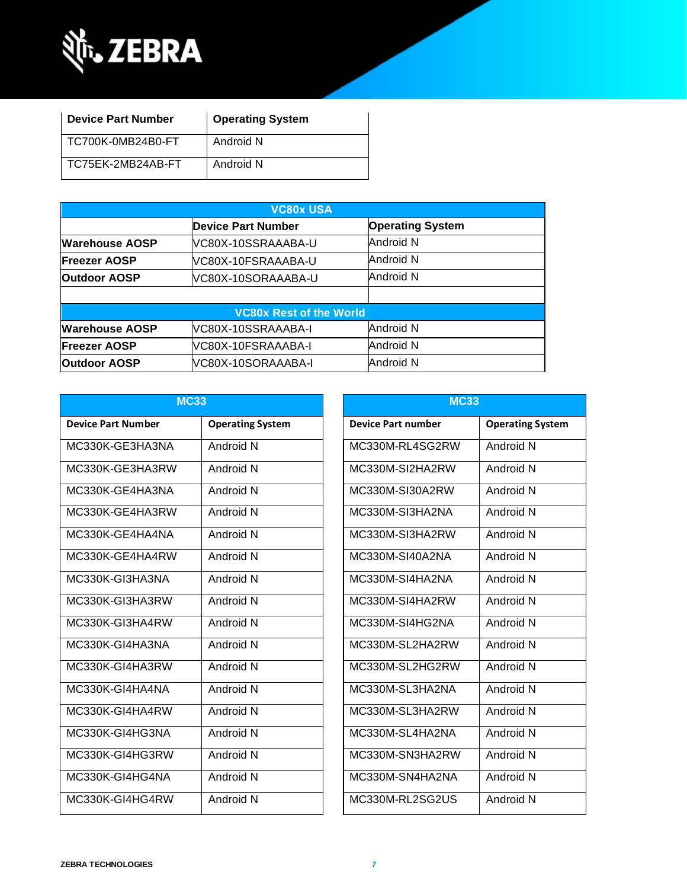

| <b>Device Part Number</b> | <b>Operating System</b> |
|---------------------------|-------------------------|
| TC700K-0MB24B0-FT         | Android N               |
| TC75EK-2MB24AB-FT         | Android N               |

| <b>VC80x USA</b>               |                     |                         |
|--------------------------------|---------------------|-------------------------|
|                                | Device Part Number  | <b>Operating System</b> |
| <b>Warehouse AOSP</b>          | lVC80X-10SSRAAABA-U | Android N               |
| <b>Freezer AOSP</b>            | VC80X-10FSRAAABA-U  | Android N               |
| <b>Outdoor AOSP</b>            | IVC80X-10SORAAABA-U | Android N               |
|                                |                     |                         |
| <b>VC80x Rest of the World</b> |                     |                         |
| <b>Warehouse AOSP</b>          | VC80X-10SSRAAABA-I  | Android N               |
| <b>Freezer AOSP</b>            | VC80X-10FSRAAABA-I  | Android N               |
| <b>Outdoor AOSP</b>            | VC80X-10SORAAABA-I  | Android N               |

| <b>MC33</b>               |                         |                           | <b>MC33</b>             |  |  |
|---------------------------|-------------------------|---------------------------|-------------------------|--|--|
| <b>Device Part Number</b> | <b>Operating System</b> | <b>Device Part number</b> | <b>Operating System</b> |  |  |
| MC330K-GE3HA3NA           | Android N               | MC330M-RL4SG2RW           | Android N               |  |  |
| MC330K-GE3HA3RW           | Android N               | MC330M-SI2HA2RW           | Android N               |  |  |
| MC330K-GE4HA3NA           | Android N               | MC330M-SI30A2RW           | Android N               |  |  |
| MC330K-GE4HA3RW           | Android N               | MC330M-SI3HA2NA           | Android N               |  |  |
| MC330K-GE4HA4NA           | Android N               | MC330M-SI3HA2RW           | Android N               |  |  |
| MC330K-GE4HA4RW           | Android N               | MC330M-SI40A2NA           | Android N               |  |  |
| MC330K-GI3HA3NA           | Android N               | MC330M-SI4HA2NA           | Android N               |  |  |
| MC330K-GI3HA3RW           | Android N               | MC330M-SI4HA2RW           | Android N               |  |  |
| MC330K-GI3HA4RW           | Android N               | MC330M-SI4HG2NA           | Android N               |  |  |
| MC330K-GI4HA3NA           | Android N               | MC330M-SL2HA2RW           | Android N               |  |  |
| MC330K-GI4HA3RW           | Android N               | MC330M-SL2HG2RW           | Android N               |  |  |
| MC330K-GI4HA4NA           | Android N               | MC330M-SL3HA2NA           | Android N               |  |  |
| MC330K-GI4HA4RW           | Android N               | MC330M-SL3HA2RW           | Android N               |  |  |
| MC330K-GI4HG3NA           | Android N               | MC330M-SL4HA2NA           | Android N               |  |  |
| MC330K-GI4HG3RW           | Android N               | MC330M-SN3HA2RW           | Android N               |  |  |
| MC330K-GI4HG4NA           | Android N               | MC330M-SN4HA2NA           | Android N               |  |  |
| MC330K-GI4HG4RW           | Android N               | MC330M-RL2SG2US           | Android N               |  |  |

| <b>MC33</b>               |                         |  |  |
|---------------------------|-------------------------|--|--|
|                           |                         |  |  |
| <b>Device Part number</b> | <b>Operating System</b> |  |  |
| MC330M-RL4SG2RW           | Android N               |  |  |
| MC330M-SI2HA2RW           | Android N               |  |  |
| MC330M-SI30A2RW           | Android N               |  |  |
| MC330M-SI3HA2NA           | <b>Android N</b>        |  |  |
| MC330M-SI3HA2RW           | Android N               |  |  |
| MC330M-SI40A2NA           | Android N               |  |  |
| MC330M-SI4HA2NA           | Android N               |  |  |
| MC330M-SI4HA2RW           | Android N               |  |  |
| MC330M-SI4HG2NA           | Android N               |  |  |
| MC330M-SL2HA2RW           | Android N               |  |  |
| MC330M-SL2HG2RW           | Android N               |  |  |
| MC330M-SL3HA2NA           | Android N               |  |  |
| MC330M-SL3HA2RW           | Android N               |  |  |
| MC330M-SL4HA2NA           | Android N               |  |  |
| MC330M-SN3HA2RW           | Android N               |  |  |
| MC330M-SN4HA2NA           | Android N               |  |  |
| MC330M-RL2SG2US           | <b>Android N</b>        |  |  |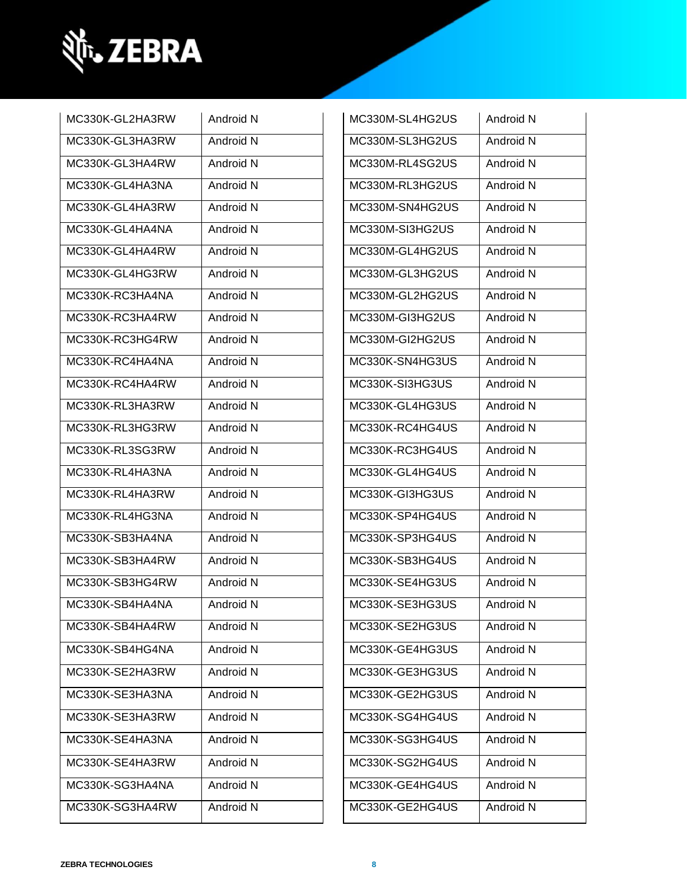

| MC330K-GL2HA3RW | Android N | MC330M-SL4HG2US | Android N |
|-----------------|-----------|-----------------|-----------|
| MC330K-GL3HA3RW | Android N | MC330M-SL3HG2US | Android N |
|                 |           |                 |           |
| MC330K-GL3HA4RW | Android N | MC330M-RL4SG2US | Android N |
| MC330K-GL4HA3NA | Android N | MC330M-RL3HG2US | Android N |
| MC330K-GL4HA3RW | Android N | MC330M-SN4HG2US | Android N |
| MC330K-GL4HA4NA | Android N | MC330M-SI3HG2US | Android N |
| MC330K-GL4HA4RW | Android N | MC330M-GL4HG2US | Android N |
| MC330K-GL4HG3RW | Android N | MC330M-GL3HG2US | Android N |
| MC330K-RC3HA4NA | Android N | MC330M-GL2HG2US | Android N |
| MC330K-RC3HA4RW | Android N | MC330M-GI3HG2US | Android N |
| MC330K-RC3HG4RW | Android N | MC330M-GI2HG2US | Android N |
| MC330K-RC4HA4NA | Android N | MC330K-SN4HG3US | Android N |
| MC330K-RC4HA4RW | Android N | MC330K-SI3HG3US | Android N |
| MC330K-RL3HA3RW | Android N | MC330K-GL4HG3US | Android N |
| MC330K-RL3HG3RW | Android N | MC330K-RC4HG4US | Android N |
| MC330K-RL3SG3RW | Android N | MC330K-RC3HG4US | Android N |
| MC330K-RL4HA3NA | Android N | MC330K-GL4HG4US | Android N |
| MC330K-RL4HA3RW | Android N | MC330K-GI3HG3US | Android N |
| MC330K-RL4HG3NA | Android N | MC330K-SP4HG4US | Android N |
| MC330K-SB3HA4NA | Android N | MC330K-SP3HG4US | Android N |
| MC330K-SB3HA4RW | Android N | MC330K-SB3HG4US | Android N |
| MC330K-SB3HG4RW | Android N | MC330K-SE4HG3US | Android N |
| MC330K-SB4HA4NA | Android N | MC330K-SE3HG3US | Android N |
| MC330K-SB4HA4RW | Android N | MC330K-SE2HG3US | Android N |
| MC330K-SB4HG4NA | Android N | MC330K-GE4HG3US | Android N |
| MC330K-SE2HA3RW | Android N | MC330K-GE3HG3US | Android N |
| MC330K-SE3HA3NA | Android N | MC330K-GE2HG3US | Android N |
| MC330K-SE3HA3RW | Android N | MC330K-SG4HG4US | Android N |
| MC330K-SE4HA3NA | Android N | MC330K-SG3HG4US | Android N |
| MC330K-SE4HA3RW | Android N | MC330K-SG2HG4US | Android N |
| MC330K-SG3HA4NA | Android N | MC330K-GE4HG4US | Android N |
| MC330K-SG3HA4RW | Android N | MC330K-GE2HG4US | Android N |

| MC330M-SL4HG2US | Android N        |
|-----------------|------------------|
| MC330M-SL3HG2US | Android N        |
| MC330M-RL4SG2US | Android N        |
| MC330M-RL3HG2US | <b>Android N</b> |
| MC330M-SN4HG2US | Android N        |
| MC330M-SI3HG2US | Android N        |
| MC330M-GL4HG2US | Android N        |
| MC330M-GL3HG2US | Android N        |
| MC330M-GL2HG2US | Android N        |
| MC330M-GI3HG2US | <b>Android N</b> |
| MC330M-GI2HG2US | Android N        |
| MC330K-SN4HG3US | Android N        |
| MC330K-SI3HG3US | Android N        |
| MC330K-GL4HG3US | Android N        |
| MC330K-RC4HG4US | Android N        |
| MC330K-RC3HG4US | Android N        |
| MC330K-GL4HG4US | Android N        |
| MC330K-GI3HG3US | Android N        |
| MC330K-SP4HG4US | <b>Android N</b> |
| MC330K-SP3HG4US | Android N        |
| MC330K-SB3HG4US | Android N        |
| MC330K-SE4HG3US | Android N        |
| MC330K-SE3HG3US | Android N        |
| MC330K-SE2HG3US | Android N        |
| MC330K-GE4HG3US | Android N        |
| MC330K-GE3HG3US | Android N        |
| MC330K-GE2HG3US | Android N        |
| MC330K-SG4HG4US | Android N        |
| MC330K-SG3HG4US | Android N        |
| MC330K-SG2HG4US | Android N        |
| MC330K-GE4HG4US | Android N        |
| MC330K-GE2HG4US | Android N        |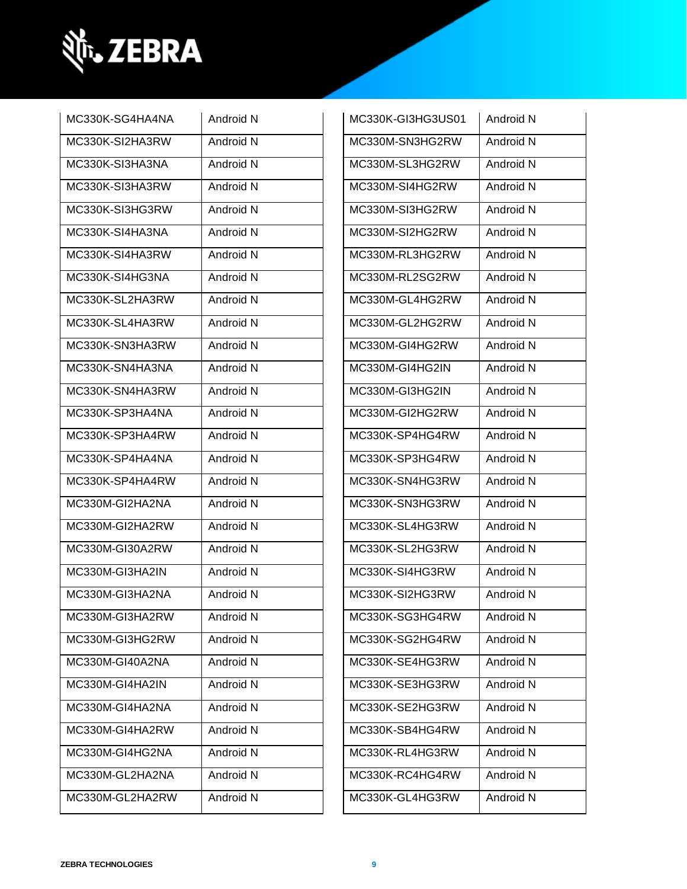

| MC330K-SG4HA4NA | Android N            | MC330K-GI3HG3US01 | Android N |
|-----------------|----------------------|-------------------|-----------|
| MC330K-SI2HA3RW | Android N            | MC330M-SN3HG2RW   | Android N |
| MC330K-SI3HA3NA | Android <sub>N</sub> | MC330M-SL3HG2RW   | Android N |
| MC330K-SI3HA3RW | Android N            | MC330M-SI4HG2RW   | Android N |
| MC330K-SI3HG3RW | Android N            | MC330M-SI3HG2RW   | Android N |
| MC330K-SI4HA3NA | Android N            | MC330M-SI2HG2RW   | Android N |
| MC330K-SI4HA3RW | Android N            | MC330M-RL3HG2RW   | Android N |
| MC330K-SI4HG3NA | Android N            | MC330M-RL2SG2RW   | Android N |
| MC330K-SL2HA3RW | Android N            | MC330M-GL4HG2RW   | Android N |
| MC330K-SL4HA3RW | Android N            | MC330M-GL2HG2RW   | Android N |
| MC330K-SN3HA3RW | Android N            | MC330M-GI4HG2RW   | Android N |
| MC330K-SN4HA3NA | Android N            | MC330M-GI4HG2IN   | Android N |
| MC330K-SN4HA3RW | Android N            | MC330M-GI3HG2IN   | Android N |
| MC330K-SP3HA4NA | Android N            | MC330M-GI2HG2RW   | Android N |
| MC330K-SP3HA4RW | Android N            | MC330K-SP4HG4RW   | Android N |
| MC330K-SP4HA4NA | Android N            | MC330K-SP3HG4RW   | Android N |
| MC330K-SP4HA4RW | Android N            | MC330K-SN4HG3RW   | Android N |
| MC330M-GI2HA2NA | Android N            | MC330K-SN3HG3RW   | Android N |
| MC330M-GI2HA2RW | Android N            | MC330K-SL4HG3RW   | Android N |
| MC330M-GI30A2RW | Android N            | MC330K-SL2HG3RW   | Android N |
| MC330M-GI3HA2IN | Android N            | MC330K-SI4HG3RW   | Android N |
| MC330M-GI3HA2NA | Android N            | MC330K-SI2HG3RW   | Android N |
| MC330M-GI3HA2RW | Android N            | MC330K-SG3HG4RW   | Android N |
| MC330M-GI3HG2RW | Android N            | MC330K-SG2HG4RW   | Android N |
| MC330M-GI40A2NA | Android N            | MC330K-SE4HG3RW   | Android N |
| MC330M-GI4HA2IN | Android N            | MC330K-SE3HG3RW   | Android N |
| MC330M-GI4HA2NA | Android N            | MC330K-SE2HG3RW   | Android N |
| MC330M-GI4HA2RW | Android N            | MC330K-SB4HG4RW   | Android N |
| MC330M-GI4HG2NA | Android N            | MC330K-RL4HG3RW   | Android N |
| MC330M-GL2HA2NA | Android N            | MC330K-RC4HG4RW   | Android N |
| MC330M-GL2HA2RW | Android N            | MC330K-GL4HG3RW   | Android N |
|                 |                      |                   |           |

| MC330K-GI3HG3US01 | Android N |
|-------------------|-----------|
| MC330M-SN3HG2RW   | Android N |
| MC330M-SL3HG2RW   | Android N |
| MC330M-SI4HG2RW   | Android N |
| MC330M-SI3HG2RW   | Android N |
| MC330M-SI2HG2RW   | Android N |
| MC330M-RL3HG2RW   | Android N |
| MC330M-RL2SG2RW   | Android N |
| MC330M-GL4HG2RW   | Android N |
| MC330M-GL2HG2RW   | Android N |
| MC330M-GI4HG2RW   | Android N |
| MC330M-GI4HG2IN   | Android N |
| MC330M-GI3HG2IN   | Android N |
| MC330M-GI2HG2RW   | Android N |
| MC330K-SP4HG4RW   | Android N |
| MC330K-SP3HG4RW   | Android N |
| MC330K-SN4HG3RW   | Android N |
| MC330K-SN3HG3RW   | Android N |
| MC330K-SL4HG3RW   | Android N |
| MC330K-SL2HG3RW   | Android N |
| MC330K-SI4HG3RW   | Android N |
| MC330K-SI2HG3RW   | Android N |
| MC330K-SG3HG4RW   | Android N |
| MC330K-SG2HG4RW   | Android N |
| MC330K-SE4HG3RW   | Android N |
| MC330K-SE3HG3RW   | Android N |
| MC330K-SE2HG3RW   | Android N |
| MC330K-SB4HG4RW   | Android N |
| MC330K-RL4HG3RW   | Android N |
| MC330K-RC4HG4RW   | Android N |
| MC330K-GL4HG3RW   | Android N |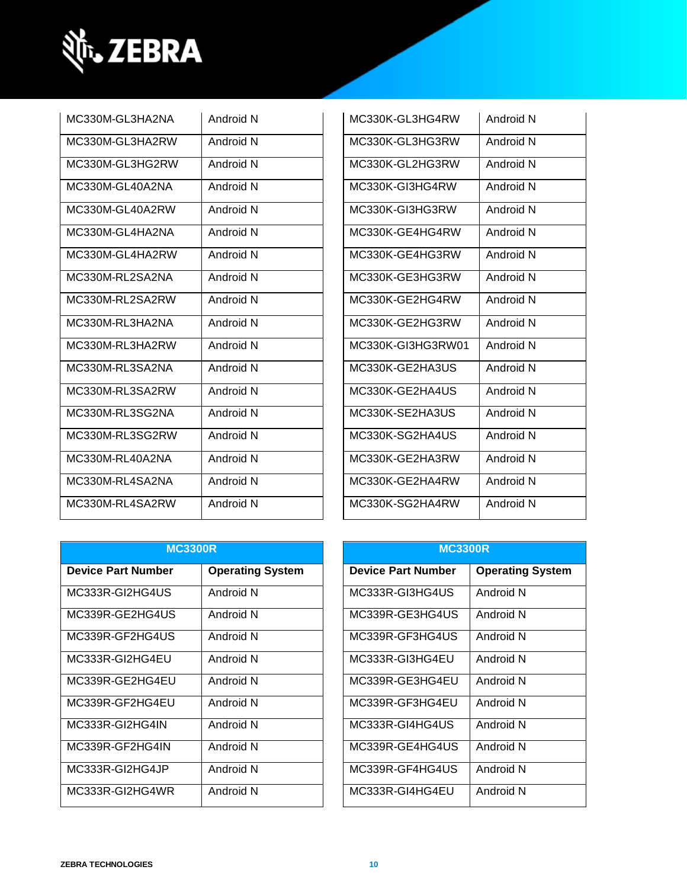

| MC330M-GL3HA2NA | Android N | MC330K-GL3HG4RW   | Android N |
|-----------------|-----------|-------------------|-----------|
| MC330M-GL3HA2RW | Android N | MC330K-GL3HG3RW   | Android N |
| MC330M-GL3HG2RW | Android N | MC330K-GL2HG3RW   | Android N |
| MC330M-GL40A2NA | Android N | MC330K-GI3HG4RW   | Android N |
| MC330M-GL40A2RW | Android N | MC330K-GI3HG3RW   | Android N |
| MC330M-GL4HA2NA | Android N | MC330K-GE4HG4RW   | Android N |
| MC330M-GL4HA2RW | Android N | MC330K-GE4HG3RW   | Android N |
| MC330M-RL2SA2NA | Android N | MC330K-GE3HG3RW   | Android N |
| MC330M-RL2SA2RW | Android N | MC330K-GE2HG4RW   | Android N |
| MC330M-RL3HA2NA | Android N | MC330K-GE2HG3RW   | Android N |
| MC330M-RL3HA2RW | Android N | MC330K-GI3HG3RW01 | Android N |
| MC330M-RL3SA2NA | Android N | MC330K-GE2HA3US   | Android N |
| MC330M-RL3SA2RW | Android N | MC330K-GE2HA4US   | Android N |
| MC330M-RL3SG2NA | Android N | MC330K-SE2HA3US   | Android N |
| MC330M-RL3SG2RW | Android N | MC330K-SG2HA4US   | Android N |
| MC330M-RL40A2NA | Android N | MC330K-GE2HA3RW   | Android N |
| MC330M-RL4SA2NA | Android N | MC330K-GE2HA4RW   | Android N |
| MC330M-RL4SA2RW | Android N | MC330K-SG2HA4RW   | Android N |

| MC330K-GL3HG4RW   | Android N        |
|-------------------|------------------|
| MC330K-GL3HG3RW   | Android N        |
| MC330K-GL2HG3RW   | Android N        |
| MC330K-GI3HG4RW   | Android N        |
| MC330K-GI3HG3RW   | Android N        |
| MC330K-GE4HG4RW   | Android N        |
| MC330K-GE4HG3RW   | Android N        |
| MC330K-GE3HG3RW   | Android N        |
| MC330K-GE2HG4RW   | Android N        |
| MC330K-GE2HG3RW   | Android N        |
| MC330K-GI3HG3RW01 | Android N        |
| MC330K-GE2HA3US   | Android N        |
| MC330K-GE2HA4US   | Android N        |
| MC330K-SE2HA3US   | <b>Android N</b> |
| MC330K-SG2HA4US   | Android N        |
| MC330K-GE2HA3RW   | Android N        |
| MC330K-GE2HA4RW   | Android N        |
| MC330K-SG2HA4RW   | Android N        |

| <b>MC3300R</b>            |                         | <b>MC3300R</b>            |                         |
|---------------------------|-------------------------|---------------------------|-------------------------|
| <b>Device Part Number</b> | <b>Operating System</b> | <b>Device Part Number</b> | <b>Operating System</b> |
| MC333R-GI2HG4US           | Android N               | MC333R-GI3HG4US           | Android N               |
| MC339R-GE2HG4US           | Android N               | MC339R-GE3HG4US           | Android N               |
| MC339R-GF2HG4US           | Android N               | MC339R-GF3HG4US           | Android N               |
| MC333R-GI2HG4EU           | Android N               | MC333R-GI3HG4EU           | Android N               |
| MC339R-GE2HG4EU           | Android N               | MC339R-GE3HG4EU           | Android N               |
| MC339R-GF2HG4EU           | Android N               | MC339R-GF3HG4EU           | Android N               |
| MC333R-GI2HG4IN           | Android N               | MC333R-GI4HG4US           | Android N               |
| MC339R-GF2HG4IN           | Android N               | MC339R-GE4HG4US           | Android N               |
| MC333R-GI2HG4JP           | Android N               | MC339R-GF4HG4US           | Android N               |
| MC333R-GI2HG4WR           | Android N               | MC333R-GI4HG4EU           | Android N               |

| <b>MC3300R</b>            |                         |  |
|---------------------------|-------------------------|--|
| <b>Device Part Number</b> | <b>Operating System</b> |  |
| MC333R-GI3HG4US           | Android N               |  |
| MC339R-GE3HG4US           | Android N               |  |
| MC339R-GF3HG4US           | Android N               |  |
| MC333R-GI3HG4EU           | Android N               |  |
| MC339R-GE3HG4EU           | Android N               |  |
| MC339R-GF3HG4EU           | Android N               |  |
| MC333R-GI4HG4US           | Android N               |  |
| MC339R-GE4HG4US           | Android N               |  |
| MC339R-GF4HG4US           | Android N               |  |
| MC333R-GI4HG4EU           | Android N               |  |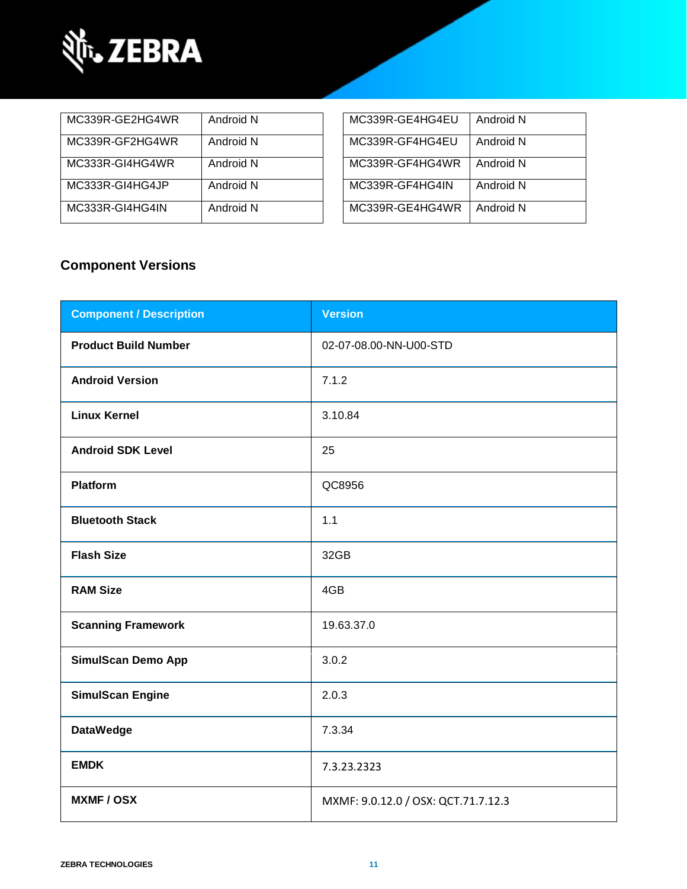

| MC339R-GE2HG4WR | Android N | MC339R-GE4HG4EU | Android N |
|-----------------|-----------|-----------------|-----------|
| MC339R-GF2HG4WR | Android N | MC339R-GF4HG4EU | Android N |
| MC333R-GI4HG4WR | Android N | MC339R-GF4HG4WR | Android N |
| MC333R-GI4HG4JP | Android N | MC339R-GF4HG4IN | Android N |
| MC333R-GI4HG4IN | Android N | MC339R-GE4HG4WR | Android N |

| MC339R-GE4HG4EU | Android N |
|-----------------|-----------|
| MC339R-GF4HG4EU | Android N |
| MC339R-GF4HG4WR | Android N |
| MC339R-GF4HG4IN | Android N |
| MC339R-GE4HG4WR | Android N |

### **Component Versions**

| <b>Component / Description</b> | <b>Version</b>                      |
|--------------------------------|-------------------------------------|
| <b>Product Build Number</b>    | 02-07-08.00-NN-U00-STD              |
| <b>Android Version</b>         | 7.1.2                               |
| <b>Linux Kernel</b>            | 3.10.84                             |
| <b>Android SDK Level</b>       | 25                                  |
| <b>Platform</b>                | QC8956                              |
| <b>Bluetooth Stack</b>         | 1.1                                 |
| <b>Flash Size</b>              | 32GB                                |
| <b>RAM Size</b>                | 4GB                                 |
| <b>Scanning Framework</b>      | 19.63.37.0                          |
| <b>SimulScan Demo App</b>      | 3.0.2                               |
| <b>SimulScan Engine</b>        | 2.0.3                               |
| <b>DataWedge</b>               | 7.3.34                              |
| <b>EMDK</b>                    | 7.3.23.2323                         |
| <b>MXMF/OSX</b>                | MXMF: 9.0.12.0 / OSX: QCT.71.7.12.3 |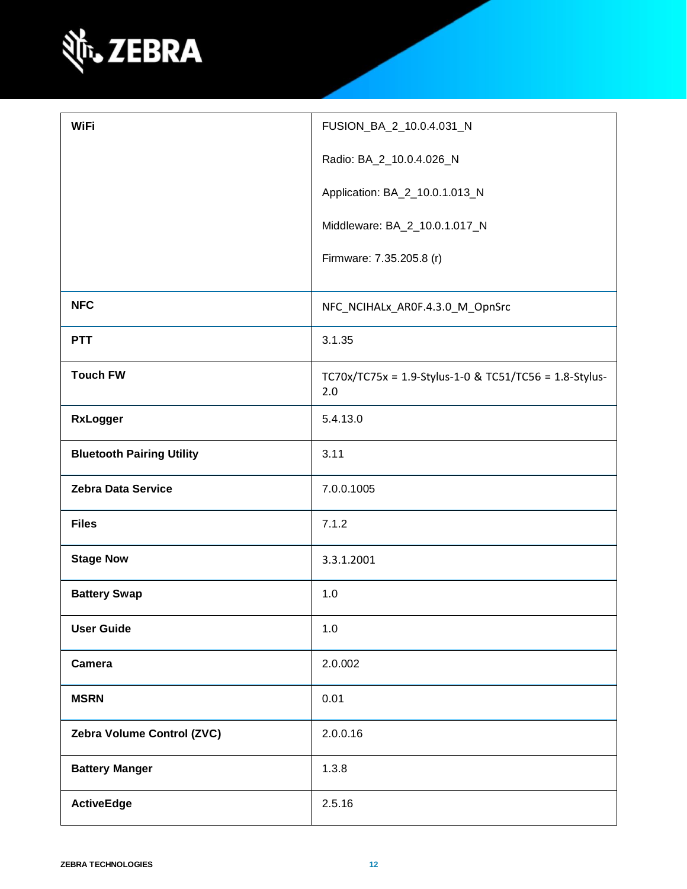

| <b>WiFi</b>                      | FUSION_BA_2_10.0.4.031_N                                      |
|----------------------------------|---------------------------------------------------------------|
|                                  | Radio: BA_2_10.0.4.026_N                                      |
|                                  | Application: BA_2_10.0.1.013_N                                |
|                                  | Middleware: BA_2_10.0.1.017_N                                 |
|                                  | Firmware: 7.35.205.8 (r)                                      |
| <b>NFC</b>                       | NFC_NCIHALx_AR0F.4.3.0_M_OpnSrc                               |
| <b>PTT</b>                       | 3.1.35                                                        |
| <b>Touch FW</b>                  | TC70x/TC75x = 1.9-Stylus-1-0 & TC51/TC56 = 1.8-Stylus-<br>2.0 |
| <b>RxLogger</b>                  | 5.4.13.0                                                      |
| <b>Bluetooth Pairing Utility</b> | 3.11                                                          |
| <b>Zebra Data Service</b>        | 7.0.0.1005                                                    |
| <b>Files</b>                     | 7.1.2                                                         |
| <b>Stage Now</b>                 | 3.3.1.2001                                                    |
| <b>Battery Swap</b>              | 1.0                                                           |
| <b>User Guide</b>                | 1.0                                                           |
| Camera                           | 2.0.002                                                       |
| <b>MSRN</b>                      | 0.01                                                          |
| Zebra Volume Control (ZVC)       | 2.0.0.16                                                      |
| <b>Battery Manger</b>            | 1.3.8                                                         |
| <b>ActiveEdge</b>                | 2.5.16                                                        |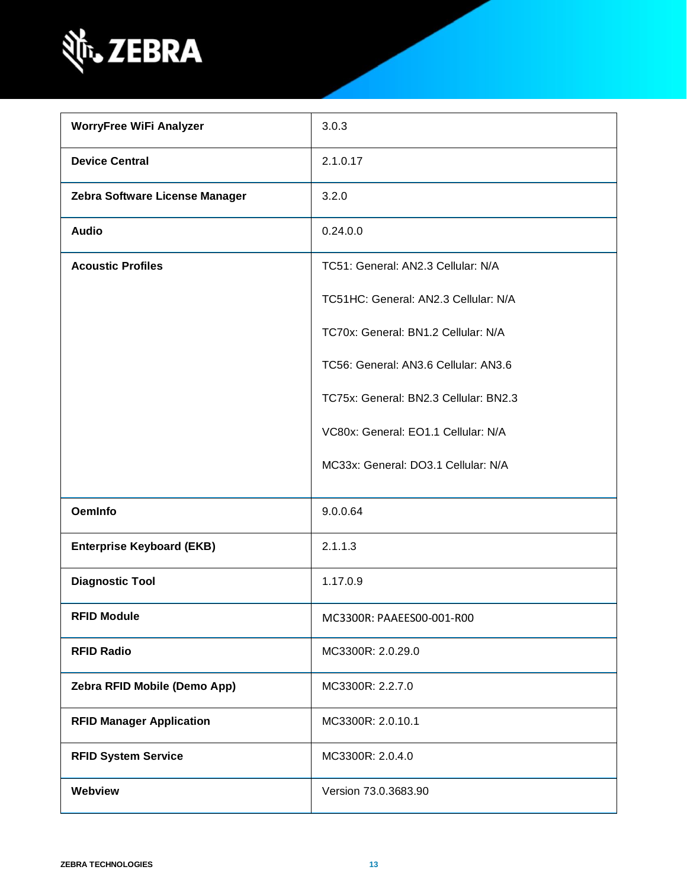

| <b>WorryFree WiFi Analyzer</b>   | 3.0.3                                 |
|----------------------------------|---------------------------------------|
| <b>Device Central</b>            | 2.1.0.17                              |
| Zebra Software License Manager   | 3.2.0                                 |
| <b>Audio</b>                     | 0.24.0.0                              |
| <b>Acoustic Profiles</b>         | TC51: General: AN2.3 Cellular: N/A    |
|                                  | TC51HC: General: AN2.3 Cellular: N/A  |
|                                  | TC70x: General: BN1.2 Cellular: N/A   |
|                                  | TC56: General: AN3.6 Cellular: AN3.6  |
|                                  | TC75x: General: BN2.3 Cellular: BN2.3 |
|                                  | VC80x: General: EO1.1 Cellular: N/A   |
|                                  | MC33x: General: DO3.1 Cellular: N/A   |
| <b>OemInfo</b>                   | 9.0.0.64                              |
| <b>Enterprise Keyboard (EKB)</b> | 2.1.1.3                               |
| <b>Diagnostic Tool</b>           | 1.17.0.9                              |
| <b>RFID Module</b>               | MC3300R: PAAEES00-001-R00             |
| <b>RFID Radio</b>                | MC3300R: 2.0.29.0                     |
| Zebra RFID Mobile (Demo App)     | MC3300R: 2.2.7.0                      |
| <b>RFID Manager Application</b>  | MC3300R: 2.0.10.1                     |
| <b>RFID System Service</b>       | MC3300R: 2.0.4.0                      |
| Webview                          | Version 73.0.3683.90                  |